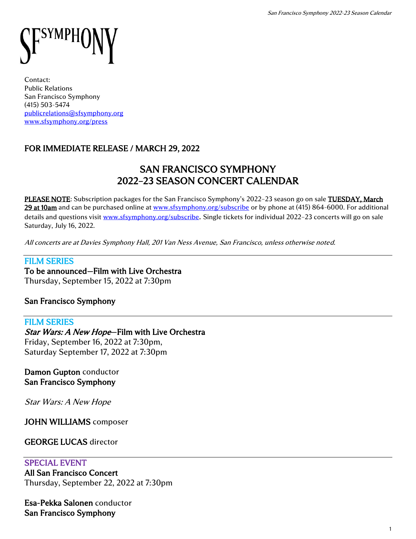# symph

Contact: Public Relations San Francisco Symphony (415) 503-5474 [publicrelations@sfsymphony.org](mailto:publicrelations@sfsymphony.org) [www.sfsymphony.org/press](http://www.sfsymphony.org/press)

# FOR IMMEDIATE RELEASE / MARCH 29, 2022

# SAN FRANCISCO SYMPHONY 2022–23 SEASON CONCERT CALENDAR

PLEASE NOTE: Subscription packages for the San Francisco Symphony's 2022-23 season go on sale TUESDAY, March 29 at 10am and can be purchased online at [www.sfsymphony.org/subscribe](http://www.sfsymphony.org/subscribe) or by phone at (415) 864-6000. For additional details and questions visit [www.sfsymphony.org/subscribe](http://www.sfsymphony.org/subscribe). Single tickets for individual 2022-23 concerts will go on sale Saturday, July 16, 2022.

All concerts are at Davies Symphony Hall, 201 Van Ness Avenue, San Francisco, unless otherwise noted.

#### FILM SERIES

To be announced—Film with Live Orchestra Thursday, September 15, 2022 at 7:30pm

## San Francisco Symphony

#### FILM SERIES Star Wars: A New Hope-Film with Live Orchestra Friday, September 16, 2022 at 7:30pm, Saturday September 17, 2022 at 7:30pm

## Damon Gupton conductor San Francisco Symphony

Star Wars: A New Hope

JOHN WILLIAMS composer

## GEORGE LUCAS director

## SPECIAL EVENT

All San Francisco Concert Thursday, September 22, 2022 at 7:30pm

Esa-Pekka Salonen conductor San Francisco Symphony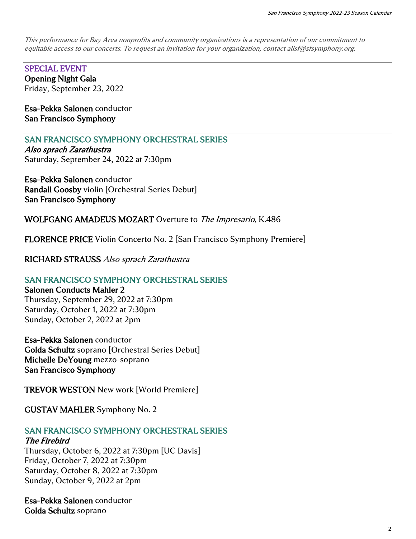This performance for Bay Area nonprofits and community organizations is a representation of our commitment to equitable access to our concerts. To request an invitation for your organization, contact allsf@sfsymphony.org.

SPECIAL EVENT Opening Night Gala Friday, September 23, 2022

Esa-Pekka Salonen conductor San Francisco Symphony

SAN FRANCISCO SYMPHONY ORCHESTRAL SERIES

Also sprach Zarathustra Saturday, September 24, 2022 at 7:30pm

Esa-Pekka Salonen conductor Randall Goosby violin [Orchestral Series Debut] San Francisco Symphony

WOLFGANG AMADEUS MOZART Overture to The Impresario, K.486

FLORENCE PRICE Violin Concerto No. 2 [San Francisco Symphony Premiere]

RICHARD STRAUSS Also sprach Zarathustra

## SAN FRANCISCO SYMPHONY ORCHESTRAL SERIES

#### Salonen Conducts Mahler 2

Thursday, September 29, 2022 at 7:30pm Saturday, October 1, 2022 at 7:30pm Sunday, October 2, 2022 at 2pm

Esa-Pekka Salonen conductor

Golda Schultz soprano [Orchestral Series Debut] Michelle DeYoung mezzo-soprano San Francisco Symphony

TREVOR WESTON New work [World Premiere]

GUSTAV MAHLER Symphony No. 2

# SAN FRANCISCO SYMPHONY ORCHESTRAL SERIES

## The Firebird

Thursday, October 6, 2022 at 7:30pm [UC Davis] Friday, October 7, 2022 at 7:30pm Saturday, October 8, 2022 at 7:30pm Sunday, October 9, 2022 at 2pm

Esa-Pekka Salonen conductor Golda Schultz soprano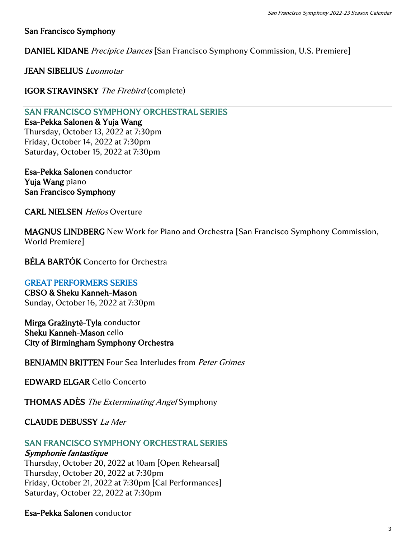## San Francisco Symphony

DANIEL KIDANE Precipice Dances [San Francisco Symphony Commission, U.S. Premiere]

JEAN SIBELIUS Luonnotar

IGOR STRAVINSKY The Firebird (complete)

SAN FRANCISCO SYMPHONY ORCHESTRAL SERIES

Esa-Pekka Salonen & Yuja Wang Thursday, October 13, 2022 at 7:30pm Friday, October 14, 2022 at 7:30pm Saturday, October 15, 2022 at 7:30pm

Esa-Pekka Salonen conductor Yuja Wang piano San Francisco Symphony

CARL NIELSEN Helios Overture

MAGNUS LINDBERG New Work for Piano and Orchestra [San Francisco Symphony Commission, World Premiere]

BÉLA BARTÓK Concerto for Orchestra

#### GREAT PERFORMERS SERIES

CBSO & Sheku Kanneh-Mason Sunday, October 16, 2022 at 7:30pm

Mirga Gražinytė-Tyla conductor Sheku Kanneh-Mason cello City of Birmingham Symphony Orchestra

BENJAMIN BRITTEN Four Sea Interludes from Peter Grimes

EDWARD ELGAR Cello Concerto

**THOMAS ADÈS** The Exterminating Angel Symphony

## CLAUDE DEBUSSY La Mer

## SAN FRANCISCO SYMPHONY ORCHESTRAL SERIES

#### Symphonie fantastique

Thursday, October 20, 2022 at 10am [Open Rehearsal] Thursday, October 20, 2022 at 7:30pm Friday, October 21, 2022 at 7:30pm [Cal Performances] Saturday, October 22, 2022 at 7:30pm

Esa-Pekka Salonen conductor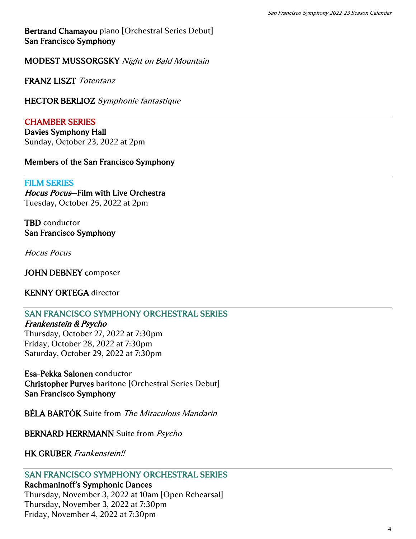Bertrand Chamayou piano [Orchestral Series Debut] San Francisco Symphony

MODEST MUSSORGSKY Night on Bald Mountain

FRANZ LISZT Totentanz

HECTOR BERLIOZ Symphonie fantastique

CHAMBER SERIES

Davies Symphony Hall Sunday, October 23, 2022 at 2pm

## Members of the San Francisco Symphony

#### FILM SERIES

Hocus Pocus—Film with Live Orchestra Tuesday, October 25, 2022 at 2pm

TBD conductor San Francisco Symphony

Hocus Pocus

JOHN DEBNEY composer

KENNY ORTEGA director

## SAN FRANCISCO SYMPHONY ORCHESTRAL SERIES

Frankenstein & Psycho Thursday, October 27, 2022 at 7:30pm Friday, October 28, 2022 at 7:30pm Saturday, October 29, 2022 at 7:30pm

Esa-Pekka Salonen conductor Christopher Purves baritone [Orchestral Series Debut] San Francisco Symphony

BÉLA BARTÓK Suite from The Miraculous Mandarin

BERNARD HERRMANN Suite from Psycho

HK GRUBER Frankenstein!!

## SAN FRANCISCO SYMPHONY ORCHESTRAL SERIES

Rachmaninoff's Symphonic Dances Thursday, November 3, 2022 at 10am [Open Rehearsal] Thursday, November 3, 2022 at 7:30pm Friday, November 4, 2022 at 7:30pm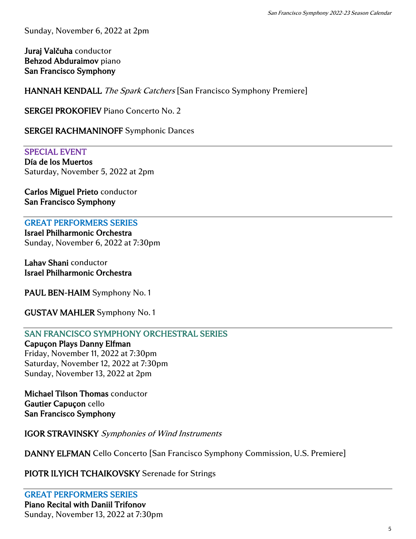Sunday, November 6, 2022 at 2pm

Juraj Valčuha conductor Behzod Abduraimov piano San Francisco Symphony

HANNAH KENDALL The Spark Catchers [San Francisco Symphony Premiere]

SERGEI PROKOFIEV Piano Concerto No. 2

SERGEI RACHMANINOFF Symphonic Dances

SPECIAL EVENT Día de los Muertos Saturday, November 5, 2022 at 2pm

Carlos Miguel Prieto conductor San Francisco Symphony

GREAT PERFORMERS SERIES Israel Philharmonic Orchestra Sunday, November 6, 2022 at 7:30pm

Lahav Shani conductor Israel Philharmonic Orchestra

PAUL BEN-HAIM Symphony No. 1

GUSTAV MAHLER Symphony No. 1

SAN FRANCISCO SYMPHONY ORCHESTRAL SERIES

Capuçon Plays Danny Elfman Friday, November 11, 2022 at 7:30pm Saturday, November 12, 2022 at 7:30pm Sunday, November 13, 2022 at 2pm

Michael Tilson Thomas conductor Gautier Capuçon cello San Francisco Symphony

IGOR STRAVINSKY Symphonies of Wind Instruments

DANNY ELFMAN Cello Concerto [San Francisco Symphony Commission, U.S. Premiere]

PIOTR ILYICH TCHAIKOVSKY Serenade for Strings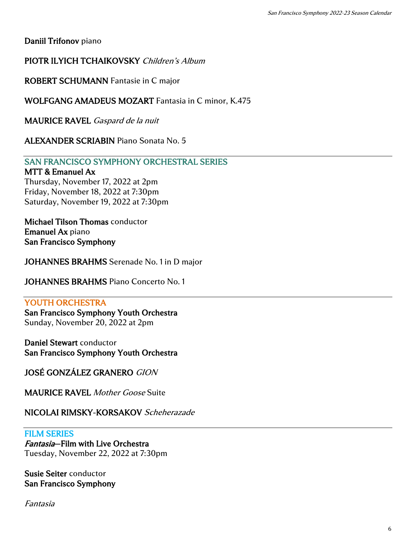Daniil Trifonov piano

PIOTR ILYICH TCHAIKOVSKY Children's Album

ROBERT SCHUMANN Fantasie in C major

WOLFGANG AMADEUS MOZART Fantasia in C minor, K.475

MAURICE RAVEL Gaspard de la nuit

ALEXANDER SCRIABIN Piano Sonata No. 5

SAN FRANCISCO SYMPHONY ORCHESTRAL SERIES

#### MTT & Emanuel Ax

Thursday, November 17, 2022 at 2pm Friday, November 18, 2022 at 7:30pm Saturday, November 19, 2022 at 7:30pm

Michael Tilson Thomas conductor Emanuel Ax piano San Francisco Symphony

JOHANNES BRAHMS Serenade No. 1 in D major

JOHANNES BRAHMS Piano Concerto No. 1

#### YOUTH ORCHESTRA

San Francisco Symphony Youth Orchestra Sunday, November 20, 2022 at 2pm

Daniel Stewart conductor San Francisco Symphony Youth Orchestra

JOSÉ GONZÁLEZ GRANERO GION

**MAURICE RAVEL Mother Goose Suite** 

NICOLAI RIMSKY-KORSAKOV Scheherazade

#### FILM SERIES

Fantasia—Film with Live Orchestra Tuesday, November 22, 2022 at 7:30pm

Susie Seiter conductor San Francisco Symphony

Fantasia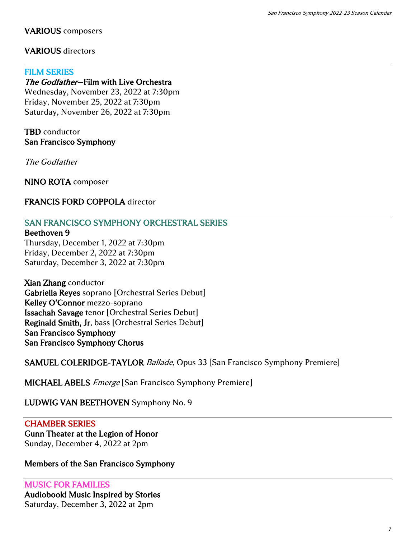## VARIOUS composers

## VARIOUS directors

#### FILM SERIES

#### The Godfather-Film with Live Orchestra

Wednesday, November 23, 2022 at 7:30pm Friday, November 25, 2022 at 7:30pm Saturday, November 26, 2022 at 7:30pm

## TBD conductor San Francisco Symphony

The Godfather

NINO ROTA composer

## FRANCIS FORD COPPOLA director

## SAN FRANCISCO SYMPHONY ORCHESTRAL SERIES

#### Beethoven 9

Thursday, December 1, 2022 at 7:30pm Friday, December 2, 2022 at 7:30pm Saturday, December 3, 2022 at 7:30pm

Xian Zhang conductor Gabriella Reyes soprano [Orchestral Series Debut] Kelley O'Connor mezzo-soprano Issachah Savage tenor [Orchestral Series Debut] Reginald Smith, Jr. bass [Orchestral Series Debut] San Francisco Symphony San Francisco Symphony Chorus

SAMUEL COLERIDGE-TAYLOR Ballade, Opus 33 [San Francisco Symphony Premiere]

MICHAEL ABELS *Emerge* [San Francisco Symphony Premiere]

## LUDWIG VAN BEETHOVEN Symphony No. 9

## CHAMBER SERIES

#### Gunn Theater at the Legion of Honor Sunday, December 4, 2022 at 2pm

## Members of the San Francisco Symphony

MUSIC FOR FAMILIES Audiobook! Music Inspired by Stories Saturday, December 3, 2022 at 2pm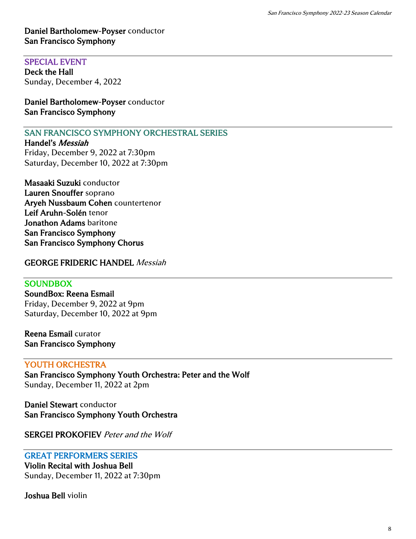## Daniel Bartholomew-Poyser conductor San Francisco Symphony

#### SPECIAL EVENT

Deck the Hall Sunday, December 4, 2022

Daniel Bartholomew-Poyser conductor San Francisco Symphony

## SAN FRANCISCO SYMPHONY ORCHESTRAL SERIES

Handel's Messiah Friday, December 9, 2022 at 7:30pm Saturday, December 10, 2022 at 7:30pm

Masaaki Suzuki conductor Lauren Snouffer soprano Aryeh Nussbaum Cohen countertenor Leif Aruhn-Solén tenor Jonathon Adams baritone San Francisco Symphony San Francisco Symphony Chorus

### GEORGE FRIDERIC HANDEL Messiah

### **SOUNDBOX**

SoundBox: Reena Esmail Friday, December 9, 2022 at 9pm Saturday, December 10, 2022 at 9pm

Reena Esmail curator San Francisco Symphony

#### YOUTH ORCHESTRA

San Francisco Symphony Youth Orchestra: Peter and the Wolf Sunday, December 11, 2022 at 2pm

Daniel Stewart conductor San Francisco Symphony Youth Orchestra

SERGEI PROKOFIEV Peter and the Wolf

#### GREAT PERFORMERS SERIES

Violin Recital with Joshua Bell Sunday, December 11, 2022 at 7:30pm

Joshua Bell violin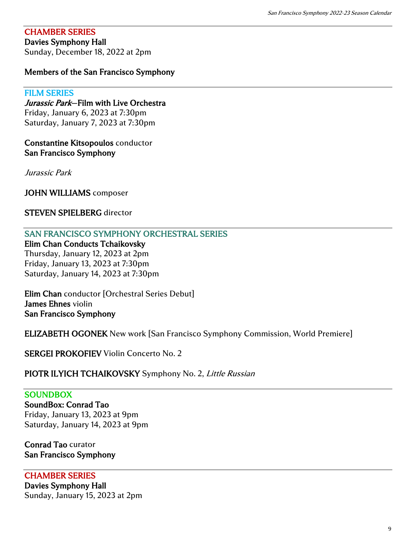## CHAMBER SERIES

Davies Symphony Hall

Sunday, December 18, 2022 at 2pm

## Members of the San Francisco Symphony

#### FILM SERIES

Jurassic Park–Film with Live Orchestra Friday, January 6, 2023 at 7:30pm Saturday, January 7, 2023 at 7:30pm

Constantine Kitsopoulos conductor San Francisco Symphony

Jurassic Park

JOHN WILLIAMS composer

#### STEVEN SPIELBERG director

SAN FRANCISCO SYMPHONY ORCHESTRAL SERIES

Elim Chan Conducts Tchaikovsky Thursday, January 12, 2023 at 2pm Friday, January 13, 2023 at 7:30pm Saturday, January 14, 2023 at 7:30pm

Elim Chan conductor [Orchestral Series Debut] James Ehnes violin San Francisco Symphony

ELIZABETH OGONEK New work [San Francisco Symphony Commission, World Premiere]

SERGEI PROKOFIEV Violin Concerto No. 2

PIOTR ILYICH TCHAIKOVSKY Symphony No. 2, Little Russian

#### **SOUNDBOX**

SoundBox: Conrad Tao Friday, January 13, 2023 at 9pm Saturday, January 14, 2023 at 9pm

Conrad Tao curator San Francisco Symphony

#### CHAMBER SERIES

Davies Symphony Hall Sunday, January 15, 2023 at 2pm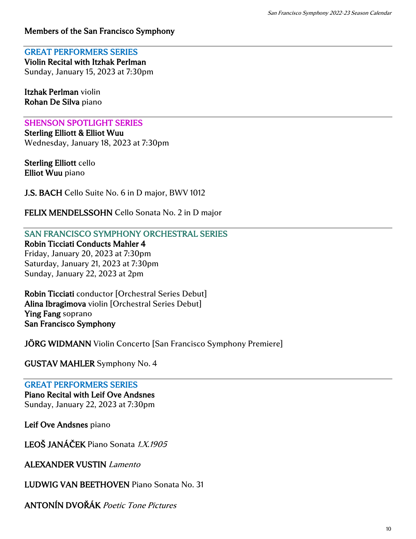## Members of the San Francisco Symphony

#### GREAT PERFORMERS SERIES

Violin Recital with Itzhak Perlman Sunday, January 15, 2023 at 7:30pm

Itzhak Perlman violin Rohan De Silva piano

### SHENSON SPOTLIGHT SERIES

Sterling Elliott & Elliot Wuu Wednesday, January 18, 2023 at 7:30pm

Sterling Elliott cello Elliot Wuu piano

J.S. BACH Cello Suite No. 6 in D major, BWV 1012

FELIX MENDELSSOHN Cello Sonata No. 2 in D major

SAN FRANCISCO SYMPHONY ORCHESTRAL SERIES

Robin Ticciati Conducts Mahler 4 Friday, January 20, 2023 at 7:30pm

Saturday, January 21, 2023 at 7:30pm Sunday, January 22, 2023 at 2pm

Robin Ticciati conductor [Orchestral Series Debut] Alina Ibragimova violin [Orchestral Series Debut] Ying Fang soprano San Francisco Symphony

JÖRG WIDMANN Violin Concerto [San Francisco Symphony Premiere]

GUSTAV MAHLER Symphony No. 4

## GREAT PERFORMERS SERIES

Piano Recital with Leif Ove Andsnes

Sunday, January 22, 2023 at 7:30pm

Leif Ove Andsnes piano

LEOŠ JANÁČEK Piano Sonata 1.X.1905

ALEXANDER VUSTIN Lamento

LUDWIG VAN BEETHOVEN Piano Sonata No. 31

ANTONÍN DVOŘÁK Poetic Tone Pictures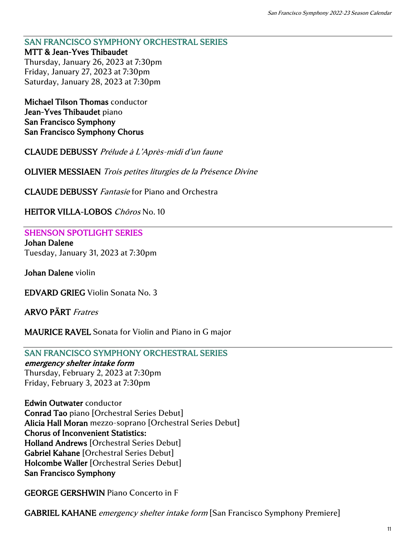#### SAN FRANCISCO SYMPHONY ORCHESTRAL SERIES MTT & Jean-Yves Thibaudet

Thursday, January 26, 2023 at 7:30pm Friday, January 27, 2023 at 7:30pm Saturday, January 28, 2023 at 7:30pm

Michael Tilson Thomas conductor Jean-Yves Thibaudet piano San Francisco Symphony San Francisco Symphony Chorus

CLAUDE DEBUSSY Prélude à L'Après-midi d'un faune

OLIVIER MESSIAEN Trois petites liturgies de la Présence Divine

CLAUDE DEBUSSY Fantasie for Piano and Orchestra

HEITOR VILLA-LOBOS Chôros No. 10

SHENSON SPOTLIGHT SERIES Johan Dalene Tuesday, January 31, 2023 at 7:30pm

Johan Dalene violin

EDVARD GRIEG Violin Sonata No. 3

ARVO PÄRT Fratres

MAURICE RAVEL Sonata for Violin and Piano in G major

#### SAN FRANCISCO SYMPHONY ORCHESTRAL SERIES

#### emergency shelter intake form

Thursday, February 2, 2023 at 7:30pm Friday, February 3, 2023 at 7:30pm

Edwin Outwater conductor Conrad Tao piano [Orchestral Series Debut] Alicia Hall Moran mezzo-soprano [Orchestral Series Debut] Chorus of Inconvenient Statistics: Holland Andrews [Orchestral Series Debut] Gabriel Kahane [Orchestral Series Debut] Holcombe Waller [Orchestral Series Debut] San Francisco Symphony

GEORGE GERSHWIN Piano Concerto in F

GABRIEL KAHANE emergency shelter intake form [San Francisco Symphony Premiere]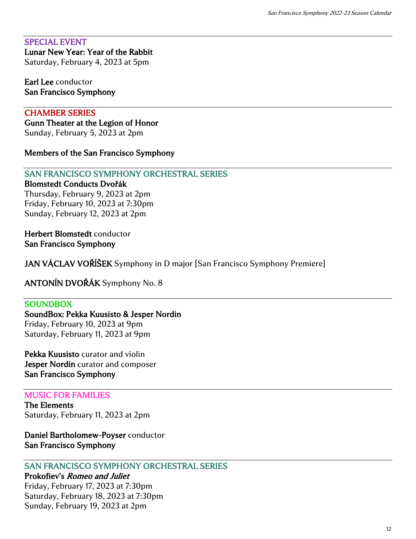#### SPECIAL EVENT Lunar New Year: Year of the Rabbit

Saturday, February 4, 2023 at 5pm

#### Earl Lee conductor San Francisco Symphony

## CHAMBER SERIES

Gunn Theater at the Legion of Honor Sunday, February 5, 2023 at 2pm

Members of the San Francisco Symphony

## SAN FRANCISCO SYMPHONY ORCHESTRAL SERIES

#### Blomstedt Conducts Dvořák

Thursday, February 9, 2023 at 2pm Friday, February 10, 2023 at 7:30pm Sunday, February 12, 2023 at 2pm

Herbert Blomstedt conductor San Francisco Symphony

JAN VÁCLAV VOŘĺŠEK Symphony in D major [San Francisco Symphony Premiere]

ANTONĺN DVOŘÁK Symphony No. 8

#### **SOUNDBOX**

SoundBox: Pekka Kuusisto & Jesper Nordin Friday, February 10, 2023 at 9pm Saturday, February 11, 2023 at 9pm

Pekka Kuusisto curator and violin Jesper Nordin curator and composer San Francisco Symphony

#### MUSIC FOR FAMILIES

The Elements Saturday, February 11, 2023 at 2pm

Daniel Bartholomew-Poyser conductor San Francisco Symphony

## SAN FRANCISCO SYMPHONY ORCHESTRAL SERIES

Prokofiev's Romeo and Juliet Friday, February 17, 2023 at 7:30pm Saturday, February 18, 2023 at 7:30pm Sunday, February 19, 2023 at 2pm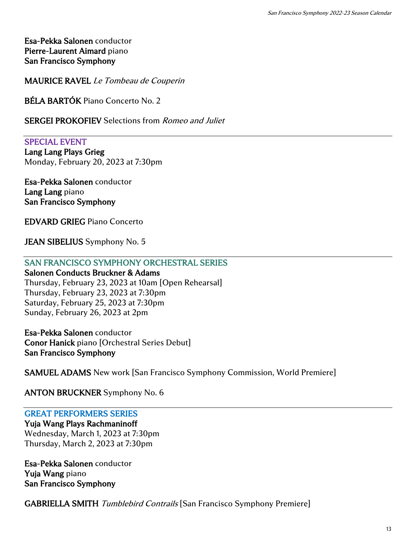Esa-Pekka Salonen conductor Pierre-Laurent Aimard piano San Francisco Symphony

MAURICE RAVEL Le Tombeau de Couperin

BÉLA BARTÓK Piano Concerto No. 2

SERGEI PROKOFIEV Selections from Romeo and Juliet

SPECIAL EVENT Lang Lang Plays Grieg Monday, February 20, 2023 at 7:30pm

Esa-Pekka Salonen conductor Lang Lang piano San Francisco Symphony

EDVARD GRIEG Piano Concerto

JEAN SIBELIUS Symphony No. 5

### SAN FRANCISCO SYMPHONY ORCHESTRAL SERIES

Salonen Conducts Bruckner & Adams Thursday, February 23, 2023 at 10am [Open Rehearsal] Thursday, February 23, 2023 at 7:30pm Saturday, February 25, 2023 at 7:30pm Sunday, February 26, 2023 at 2pm

Esa-Pekka Salonen conductor Conor Hanick piano [Orchestral Series Debut] San Francisco Symphony

SAMUEL ADAMS New work [San Francisco Symphony Commission, World Premiere]

ANTON BRUCKNER Symphony No. 6

#### GREAT PERFORMERS SERIES

Yuja Wang Plays Rachmaninoff Wednesday, March 1, 2023 at 7:30pm Thursday, March 2, 2023 at 7:30pm

Esa-Pekka Salonen conductor Yuja Wang piano San Francisco Symphony

GABRIELLA SMITH Tumblebird Contrails [San Francisco Symphony Premiere]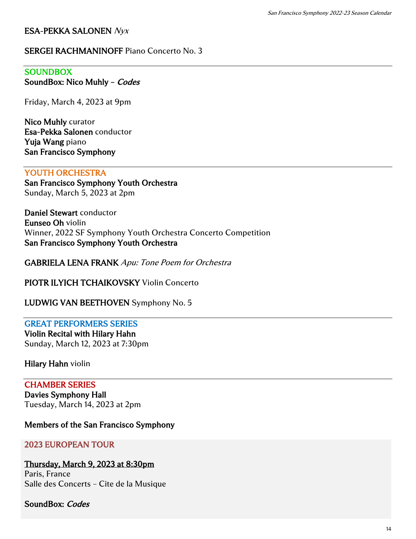## ESA-PEKKA SALONEN Nyx

## SERGEI RACHMANINOFF Piano Concerto No. 3

## **SOUNDBOX**

SoundBox: Nico Muhly - Codes

Friday, March 4, 2023 at 9pm

Nico Muhly curator Esa-Pekka Salonen conductor Yuja Wang piano San Francisco Symphony

#### YOUTH ORCHESTRA

San Francisco Symphony Youth Orchestra Sunday, March 5, 2023 at 2pm

Daniel Stewart conductor Eunseo Oh violin Winner, 2022 SF Symphony Youth Orchestra Concerto Competition San Francisco Symphony Youth Orchestra

GABRIELA LENA FRANK Apu: Tone Poem for Orchestra

PIOTR ILYICH TCHAIKOVSKY Violin Concerto

#### LUDWIG VAN BEETHOVEN Symphony No. 5

#### GREAT PERFORMERS SERIES

Violin Recital with Hilary Hahn Sunday, March 12, 2023 at 7:30pm

#### Hilary Hahn violin

### CHAMBER SERIES

Davies Symphony Hall Tuesday, March 14, 2023 at 2pm

#### Members of the San Francisco Symphony

#### 2023 EUROPEAN TOUR

#### Thursday, March 9, 2023 at 8:30pm

Paris, France Salle des Concerts – Cite de la Musique

#### SoundBox: Codes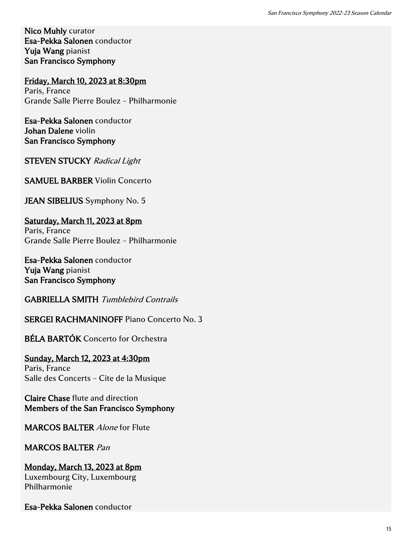Nico Muhly curator Esa-Pekka Salonen conductor Yuja Wang pianist San Francisco Symphony

Friday, March 10, 2023 at 8:30pm Paris, France Grande Salle Pierre Boulez – Philharmonie

Esa-Pekka Salonen conductor Johan Dalene violin San Francisco Symphony

STEVEN STUCKY Radical Light

SAMUEL BARBER Violin Concerto

JEAN SIBELIUS Symphony No. 5

Saturday, March 11, 2023 at 8pm Paris, France Grande Salle Pierre Boulez – Philharmonie

Esa-Pekka Salonen conductor Yuja Wang pianist San Francisco Symphony

GABRIELLA SMITH Tumblebird Contrails

SERGEI RACHMANINOFF Piano Concerto No. 3

BÉLA BARTÓK Concerto for Orchestra

Sunday, March 12, 2023 at 4:30pm Paris, France Salle des Concerts – Cite de la Musique

Claire Chase flute and direction Members of the San Francisco Symphony

MARCOS BALTER Alone for Flute

## MARCOS BALTER Pan

Monday, March 13, 2023 at 8pm Luxembourg City, Luxembourg Philharmonie

Esa-Pekka Salonen conductor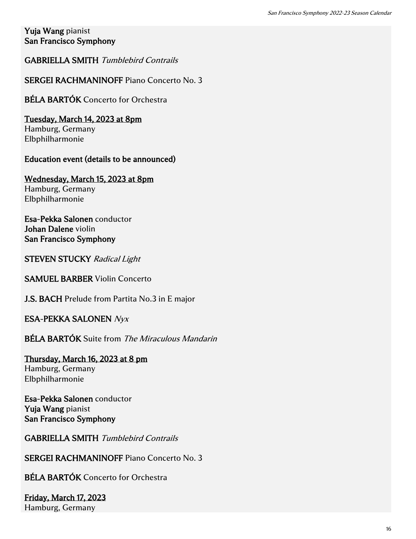## Yuja Wang pianist San Francisco Symphony

## GABRIELLA SMITH Tumblebird Contrails

## SERGEI RACHMANINOFF Piano Concerto No. 3

# BÉLA BARTÓK Concerto for Orchestra

#### Tuesday, March 14, 2023 at 8pm Hamburg, Germany Elbphilharmonie

## Education event (details to be announced)

Wednesday, March 15, 2023 at 8pm Hamburg, Germany Elbphilharmonie

Esa-Pekka Salonen conductor Johan Dalene violin San Francisco Symphony

**STEVEN STUCKY Radical Light** 

SAMUEL BARBER Violin Concerto

J.S. BACH Prelude from Partita No.3 in E major

## ESA-PEKKA SALONEN Nyx

BÉLA BARTÓK Suite from The Miraculous Mandarin

Thursday, March 16, 2023 at 8 pm Hamburg, Germany Elbphilharmonie

Esa-Pekka Salonen conductor Yuja Wang pianist San Francisco Symphony

GABRIELLA SMITH Tumblebird Contrails

SERGEI RACHMANINOFF Piano Concerto No. 3

BÉLA BARTÓK Concerto for Orchestra

Friday, March 17, 2023 Hamburg, Germany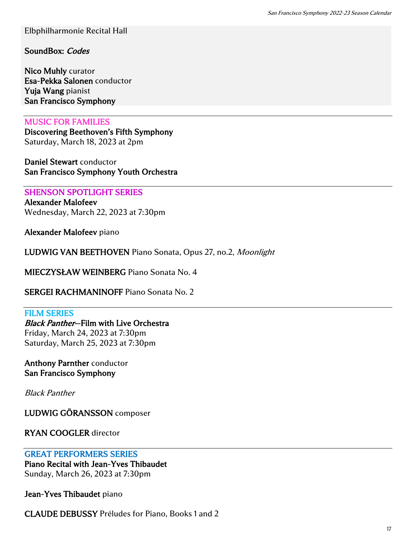Elbphilharmonie Recital Hall

SoundBox: Codes

Nico Muhly curator Esa-Pekka Salonen conductor Yuja Wang pianist San Francisco Symphony

#### MUSIC FOR FAMILIES

Discovering Beethoven's Fifth Symphony Saturday, March 18, 2023 at 2pm

Daniel Stewart conductor San Francisco Symphony Youth Orchestra

#### SHENSON SPOTLIGHT SERIES

Alexander Malofeev Wednesday, March 22, 2023 at 7:30pm

Alexander Malofeev piano

LUDWIG VAN BEETHOVEN Piano Sonata, Opus 27, no.2, Moonlight

MIECZYSŁAW WEINBERG Piano Sonata No. 4

SERGEI RACHMANINOFF Piano Sonata No. 2

#### FILM SERIES

Black Panther—Film with Live Orchestra Friday, March 24, 2023 at 7:30pm Saturday, March 25, 2023 at 7:30pm

Anthony Parnther conductor San Francisco Symphony

Black Panther

LUDWIG GÖRANSSON composer

RYAN COOGLER director

#### GREAT PERFORMERS SERIES

Piano Recital with Jean-Yves Thibaudet Sunday, March 26, 2023 at 7:30pm

Jean-Yves Thibaudet piano

CLAUDE DEBUSSY Préludes for Piano, Books 1 and 2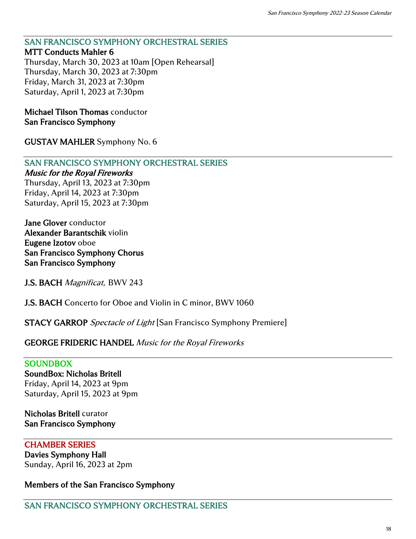# SAN FRANCISCO SYMPHONY ORCHESTRAL SERIES

#### MTT Conducts Mahler 6

Thursday, March 30, 2023 at 10am [Open Rehearsal] Thursday, March 30, 2023 at 7:30pm Friday, March 31, 2023 at 7:30pm Saturday, April 1, 2023 at 7:30pm

Michael Tilson Thomas conductor San Francisco Symphony

GUSTAV MAHLER Symphony No. 6

#### SAN FRANCISCO SYMPHONY ORCHESTRAL SERIES

#### Music for the Royal Fireworks

Thursday, April 13, 2023 at 7:30pm Friday, April 14, 2023 at 7:30pm Saturday, April 15, 2023 at 7:30pm

Jane Glover conductor Alexander Barantschik violin Eugene Izotov oboe San Francisco Symphony Chorus San Francisco Symphony

J.S. BACH Magnificat, BWV 243

J.S. BACH Concerto for Oboe and Violin in C minor, BWV 1060

**STACY GARROP** Spectacle of Light [San Francisco Symphony Premiere]

#### GEORGE FRIDERIC HANDEL Music for the Royal Fireworks

#### **SOUNDBOX**

SoundBox: Nicholas Britell Friday, April 14, 2023 at 9pm Saturday, April 15, 2023 at 9pm

#### Nicholas Britell curator San Francisco Symphony

#### CHAMBER SERIES Davies Symphony Hall

Sunday, April 16, 2023 at 2pm

#### Members of the San Francisco Symphony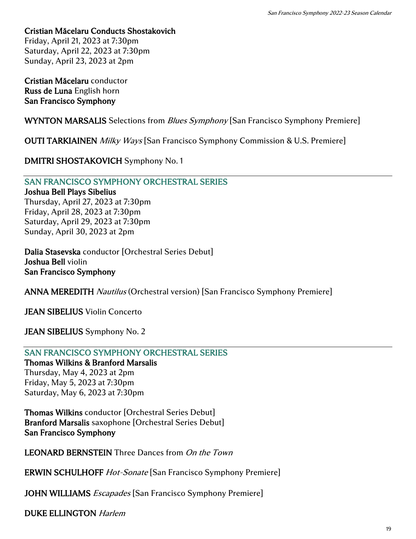Cristian Măcelaru Conducts Shostakovich Friday, April 21, 2023 at 7:30pm Saturday, April 22, 2023 at 7:30pm

Cristian Măcelaru conductor Russ de Luna English horn San Francisco Symphony

Sunday, April 23, 2023 at 2pm

WYNTON MARSALIS Selections from *Blues Symphony* [San Francisco Symphony Premiere]

**OUTI TARKIAINEN** Milky Ways [San Francisco Symphony Commission & U.S. Premiere]

DMITRI SHOSTAKOVICH Symphony No. 1

#### SAN FRANCISCO SYMPHONY ORCHESTRAL SERIES

Joshua Bell Plays Sibelius Thursday, April 27, 2023 at 7:30pm Friday, April 28, 2023 at 7:30pm Saturday, April 29, 2023 at 7:30pm Sunday, April 30, 2023 at 2pm

Dalia Stasevska conductor [Orchestral Series Debut] Joshua Bell violin San Francisco Symphony

ANNA MEREDITH Nautilus (Orchestral version) [San Francisco Symphony Premiere]

JEAN SIBELIUS Violin Concerto

JEAN SIBELIUS Symphony No. 2

#### SAN FRANCISCO SYMPHONY ORCHESTRAL SERIES

Thomas Wilkins & Branford Marsalis Thursday, May 4, 2023 at 2pm Friday, May 5, 2023 at 7:30pm Saturday, May 6, 2023 at 7:30pm

Thomas Wilkins conductor [Orchestral Series Debut] Branford Marsalis saxophone [Orchestral Series Debut] San Francisco Symphony

LEONARD BERNSTEIN Three Dances from On the Town

ERWIN SCHULHOFF Hot-Sonate [San Francisco Symphony Premiere]

JOHN WILLIAMS *Escapades* [San Francisco Symphony Premiere]

DUKE ELLINGTON Harlem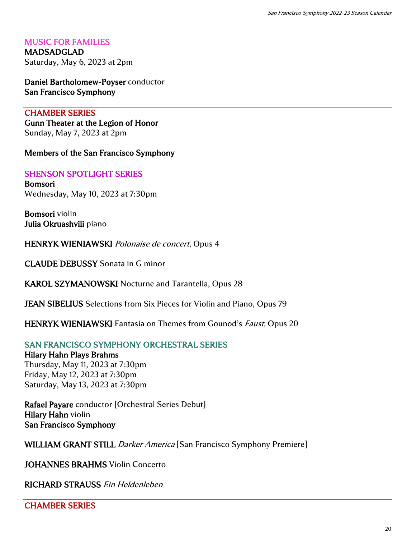MUSIC FOR FAMILIES MADSADGLAD Saturday, May 6, 2023 at 2pm

Daniel Bartholomew-Poyser conductor San Francisco Symphony

## CHAMBER SERIES

Gunn Theater at the Legion of Honor Sunday, May 7, 2023 at 2pm

Members of the San Francisco Symphony

SHENSON SPOTLIGHT SERIES Bomsori Wednesday, May 10, 2023 at 7:30pm

Bomsori violin Julia Okruashvili piano

HENRYK WIENIAWSKI Polonaise de concert, Opus 4

CLAUDE DEBUSSY Sonata in G minor

KAROL SZYMANOWSKI Nocturne and Tarantella, Opus 28

JEAN SIBELIUS Selections from Six Pieces for Violin and Piano, Opus 79

HENRYK WIENIAWSKI Fantasia on Themes from Gounod's *Faust*, Opus 20

## SAN FRANCISCO SYMPHONY ORCHESTRAL SERIES

#### Hilary Hahn Plays Brahms

Thursday, May 11, 2023 at 7:30pm Friday, May 12, 2023 at 7:30pm Saturday, May 13, 2023 at 7:30pm

Rafael Payare conductor [Orchestral Series Debut] Hilary Hahn violin San Francisco Symphony

WILLIAM GRANT STILL Darker America [San Francisco Symphony Premiere]

JOHANNES BRAHMS Violin Concerto

RICHARD STRAUSS Ein Heldenleben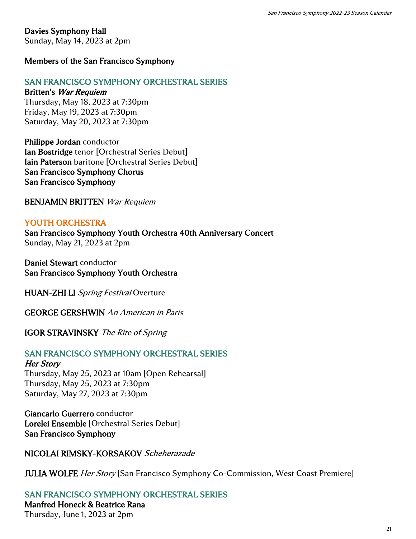# Davies Symphony Hall

Sunday, May 14, 2023 at 2pm

## Members of the San Francisco Symphony

## SAN FRANCISCO SYMPHONY ORCHESTRAL SERIES

#### Britten's War Requiem

Thursday, May 18, 2023 at 7:30pm Friday, May 19, 2023 at 7:30pm Saturday, May 20, 2023 at 7:30pm

Philippe Jordan conductor Ian Bostridge tenor [Orchestral Series Debut] Iain Paterson baritone [Orchestral Series Debut] San Francisco Symphony Chorus San Francisco Symphony

BENJAMIN BRITTEN War Requiem

#### YOUTH ORCHESTRA

San Francisco Symphony Youth Orchestra 40th Anniversary Concert Sunday, May 21, 2023 at 2pm

Daniel Stewart conductor San Francisco Symphony Youth Orchestra

HUAN-ZHI LI Spring Festival Overture

GEORGE GERSHWIN An American in Paris

IGOR STRAVINSKY The Rite of Spring

## SAN FRANCISCO SYMPHONY ORCHESTRAL SERIES

#### Her Story

Thursday, May 25, 2023 at 10am [Open Rehearsal] Thursday, May 25, 2023 at 7:30pm Saturday, May 27, 2023 at 7:30pm

Giancarlo Guerrero conductor Lorelei Ensemble [Orchestral Series Debut] San Francisco Symphony

## NICOLAI RIMSKY-KORSAKOV Scheherazade

**JULIA WOLFE Her Story [San Francisco Symphony Co-Commission, West Coast Premiere]** 

SAN FRANCISCO SYMPHONY ORCHESTRAL SERIES Manfred Honeck & Beatrice Rana Thursday, June 1, 2023 at 2pm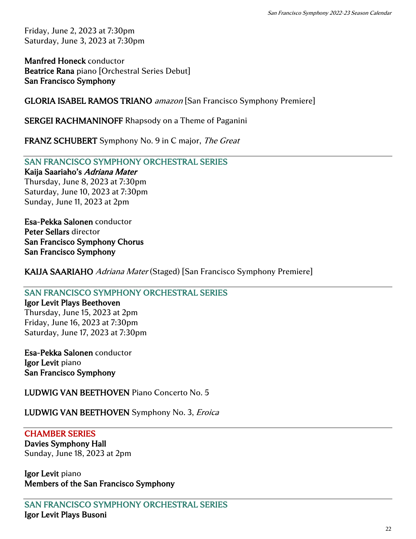Friday, June 2, 2023 at 7:30pm Saturday, June 3, 2023 at 7:30pm

Manfred Honeck conductor Beatrice Rana piano [Orchestral Series Debut] San Francisco Symphony

GLORIA ISABEL RAMOS TRIANO amazon [San Francisco Symphony Premiere]

SERGEI RACHMANINOFF Rhapsody on a Theme of Paganini

FRANZ SCHUBERT Symphony No. 9 in C major, The Great

SAN FRANCISCO SYMPHONY ORCHESTRAL SERIES

Kaija Saariaho's Adriana Mater

Thursday, June 8, 2023 at 7:30pm Saturday, June 10, 2023 at 7:30pm Sunday, June 11, 2023 at 2pm

Esa-Pekka Salonen conductor Peter Sellars director San Francisco Symphony Chorus San Francisco Symphony

KAIJA SAARIAHO Adriana Mater (Staged) [San Francisco Symphony Premiere]

## SAN FRANCISCO SYMPHONY ORCHESTRAL SERIES

Igor Levit Plays Beethoven Thursday, June 15, 2023 at 2pm Friday, June 16, 2023 at 7:30pm Saturday, June 17, 2023 at 7:30pm

Esa-Pekka Salonen conductor Igor Levit piano San Francisco Symphony

LUDWIG VAN BEETHOVEN Piano Concerto No. 5

LUDWIG VAN BEETHOVEN Symphony No. 3, Eroica

## CHAMBER SERIES

Davies Symphony Hall Sunday, June 18, 2023 at 2pm

Igor Levit piano Members of the San Francisco Symphony